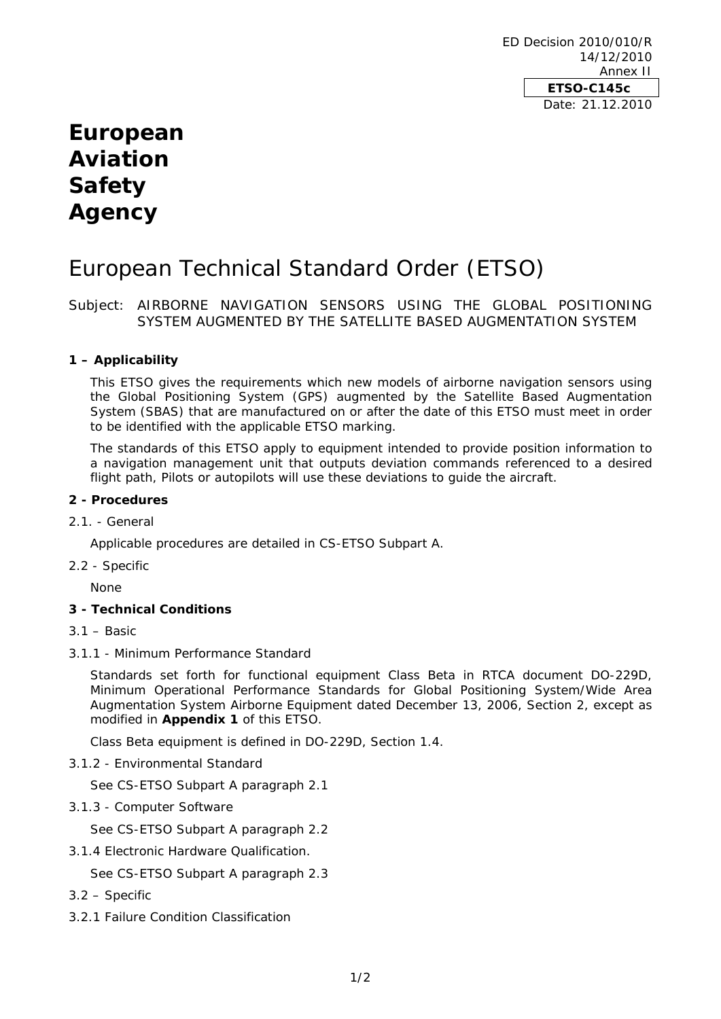ED Decision 2010/010/R 14/12/2010 Annex II **ETSO-C145c**  Date: 21.12.2010

# **European Aviation Safety Agency**

# European Technical Standard Order (ETSO)

Subject: AIRBORNE NAVIGATION SENSORS USING THE GLOBAL POSITIONING SYSTEM AUGMENTED BY THE SATELLITE BASED AUGMENTATION SYSTEM

## **1 – Applicability**

This ETSO gives the requirements which new models of airborne navigation sensors using the Global Positioning System (GPS) augmented by the Satellite Based Augmentation System (SBAS) that are manufactured on or after the date of this ETSO must meet in order to be identified with the applicable ETSO marking.

The standards of this ETSO apply to equipment intended to provide position information to a navigation management unit that outputs deviation commands referenced to a desired flight path, Pilots or autopilots will use these deviations to guide the aircraft.

## **2 - Procedures**

## 2.1. - General

Applicable procedures are detailed in CS-ETSO Subpart A.

2.2 - Specific

None

## **3 - Technical Conditions**

- 3.1 Basic
- 3.1.1 Minimum Performance Standard

Standards set forth for functional equipment Class Beta in RTCA document DO-229D, Minimum Operational Performance Standards for Global Positioning System/Wide Area Augmentation System Airborne Equipment dated December 13, 2006, Section 2, except as modified in **Appendix 1** of this ETSO.

Class Beta equipment is defined in DO-229D, Section 1.4.

3.1.2 - Environmental Standard

See CS-ETSO Subpart A paragraph 2.1

3.1.3 - Computer Software

See CS-ETSO Subpart A paragraph 2.2

3.1.4 Electronic Hardware Qualification.

See CS-ETSO Subpart A paragraph 2.3

- 3.2 Specific
- 3.2.1 Failure Condition Classification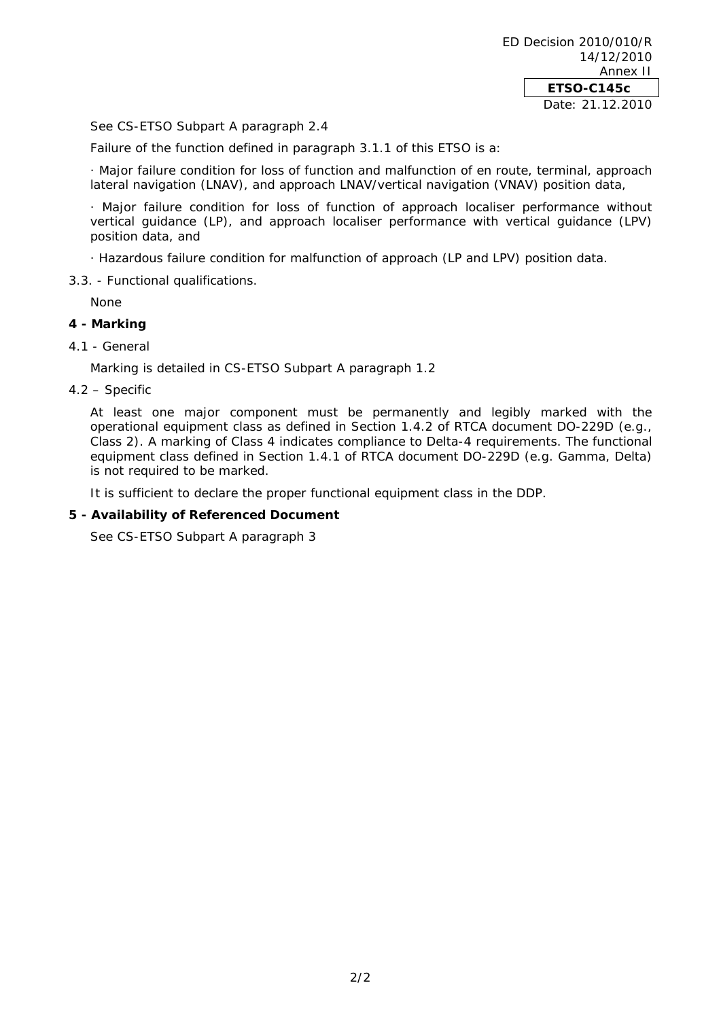See CS-ETSO Subpart A paragraph 2.4

Failure of the function defined in paragraph 3.1.1 of this ETSO is a:

· *Major* failure condition for loss of function and malfunction of en route, terminal, approach lateral navigation (LNAV), and approach LNAV/vertical navigation (VNAV) position data,

· *Major* failure condition for loss of function of approach localiser performance without vertical guidance (LP), and approach localiser performance with vertical guidance (LPV) position data, and

· *Hazardous* failure condition for malfunction of approach (LP and LPV) position data.

3.3. - Functional qualifications.

None

## **4 - Marking**

#### 4.1 - General

Marking is detailed in CS-ETSO Subpart A paragraph 1.2

## 4.2 – Specific

At least one major component must be permanently and legibly marked with the operational equipment class as defined in Section 1.4.2 of RTCA document DO-229D (e.g., Class 2). A marking of Class 4 indicates compliance to Delta-4 requirements. The functional equipment class defined in Section 1.4.1 of RTCA document DO-229D (e.g. Gamma, Delta) is not required to be marked.

It is sufficient to declare the proper functional equipment class in the DDP.

#### **5 - Availability of Referenced Document**

See CS-ETSO Subpart A paragraph 3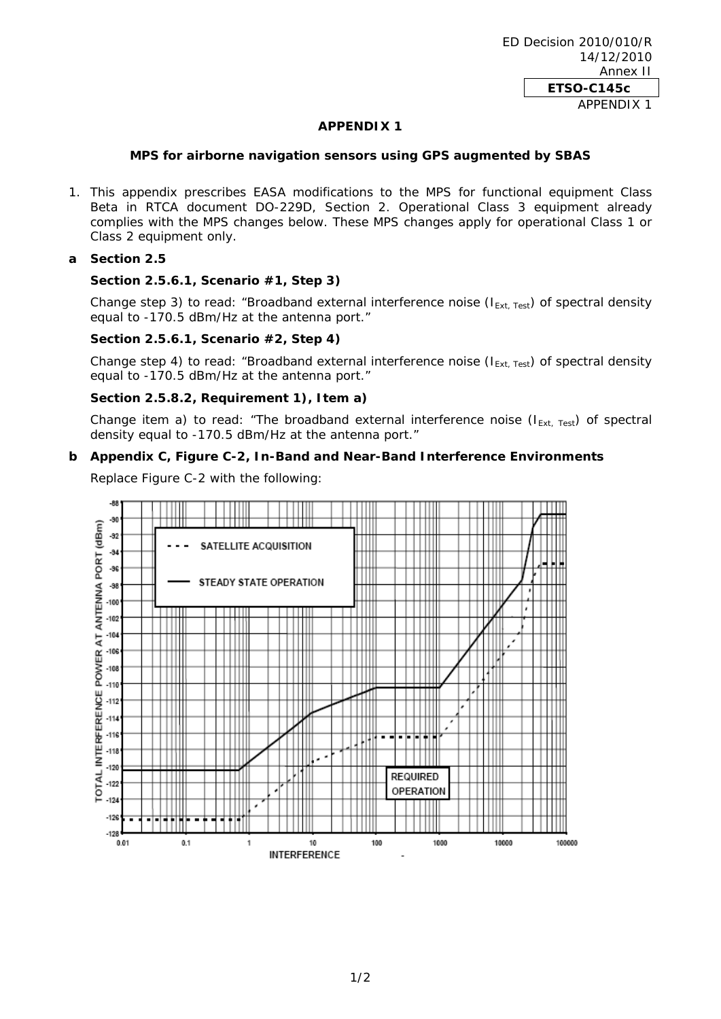## **APPENDIX 1**

#### **MPS for airborne navigation sensors using GPS augmented by SBAS**

1. This appendix prescribes EASA modifications to the MPS for functional equipment Class Beta in RTCA document DO-229D, Section 2. Operational Class 3 equipment already complies with the MPS changes below. These MPS changes apply for operational Class 1 or Class 2 equipment only.

## **a Section 2.5**

## **Section 2.5.6.1, Scenario #1, Step 3)**

Change step 3) to read: "Broadband external interference noise ( $I_{Ext}$ <sub>Test</sub>) of spectral density equal to -170.5 dBm/Hz at the antenna port."

## **Section 2.5.6.1, Scenario #2, Step 4)**

Change step 4) to read: "Broadband external interference noise ( $I_{Ext, Test}$ ) of spectral density equal to -170.5 dBm/Hz at the antenna port."

## **Section 2.5.8.2, Requirement 1), Item a)**

Change item a) to read: "The broadband external interference noise ( $I_{Ext, Test}$ ) of spectral density equal to -170.5 dBm/Hz at the antenna port."

#### **b Appendix C, Figure C-2, In-Band and Near-Band Interference Environments**

Replace Figure C-2 with the following: